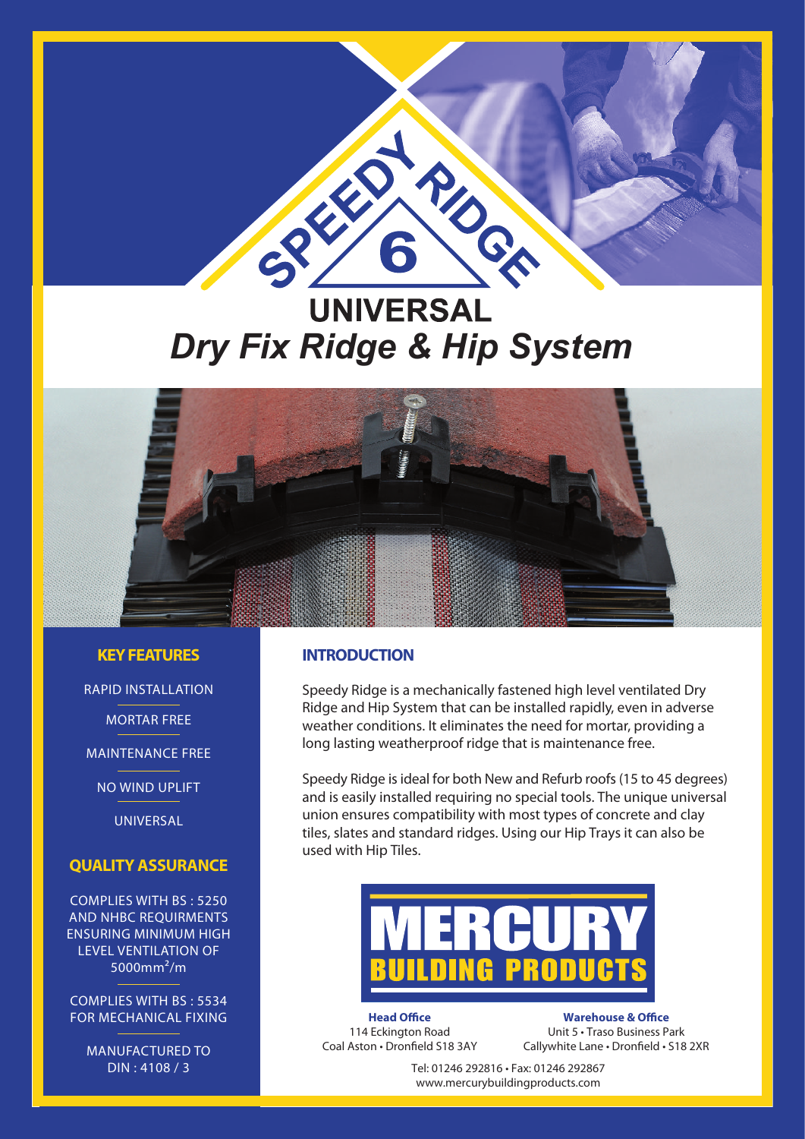

# **UNIVERSAL** *Dry Fix Ridge & Hip System*



### **KEY FEATURES**

RAPID INSTALLATION

MORTAR FREE

MAINTENANCE FREE

NO WIND UPLIFT

UNIVERSAL

# **QUALITY ASSURANCE**

COMPLIES WITH BS : 5250 AND NHBC REQUIRMENTS ENSURING MINIMUM HIGH LEVEL VENTILATION OF 5000mm²/m

COMPLIES WITH BS : 5534 FOR MECHANICAL FIXING

MANUFACTURED TO DIN : 4108 / 3

### **INTRODUCTION**

Speedy Ridge is a mechanically fastened high level ventilated Dry Ridge and Hip System that can be installed rapidly, even in adverse weather conditions. It eliminates the need for mortar, providing a long lasting weatherproof ridge that is maintenance free.

Speedy Ridge is ideal for both New and Refurb roofs (15 to 45 degrees) and is easily installed requiring no special tools. The unique universal union ensures compatibility with most types of concrete and clay tiles, slates and standard ridges. Using our Hip Trays it can also be used with Hip Tiles.



**Head Office** 114 Eckington Road Coal Aston • Dronfield S18 3AY

**Warehouse & Office** Unit 5 • Traso Business Park Callywhite Lane • Dronfield • S18 2XR

Tel: 01246 292816 • Fax: 01246 292867 www.mercurybuildingproducts.com